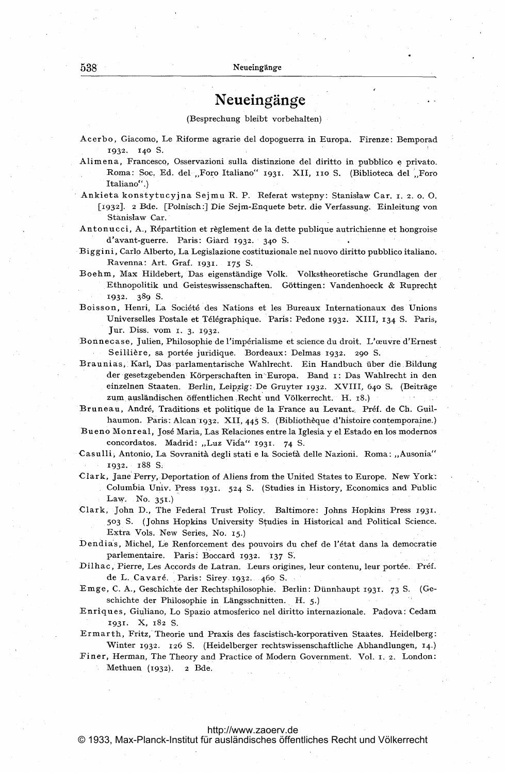## Neueingänge

(Besprechung bleibt vorbehalten)

- Acerbo, Giacomo, Le Riforme agrarie del dopoguerra in Europa. Firenze: Bemporad 1932. 140 S.
- Alimena, Francesco, Osservazioni sulla distinzione del diritto in pubblico e privato. Roma: Soc. Ed. del "Foro Italiano" 1931. XII, 110 S. (Biblioteca del Foro Italiano".)
- Ankieta konstytucyjna Sejmu R. P. Referat wstepny: Stanisław Car. r. 2. o. O. [1932]. 2 Bde. [Polnisch:] Die Sejm-Enquete betr. die Verfassung. Einleitung von Stanisław Car.
- Antonucci, A., Répartition et règlement de la dette publique autrichienne et hongroise d'avant-guerre. Paris: Giard 1932. 340 S.
- Biggini, Carlo Alberto, La Legislazione costituzionale nel nuovo diritto pubblico italiano. Ravenna: Art. Graf. 1931. 175 S.
- Boehm, Max Hildebert, Das eigenständige Volk. Volkstheoretische Grundlagen der Ethnopolitik und Geisteswissenschaften. Göttingen: Vandenhoeck & Ruprecht 1932. 389 S.
- Boisson, Henri, La Société des Nations et les Bureaux Internationaux des Unions Universelles Postale et Télégraphique. Paris: Pedone 1932. XIII, 134 S. Paris, Jur. Diss. vom 1. 3. 1932.
- Bonnecase, Julien, Philosophie de l'impérialisme et science du droit. L'œuvre d'Ernest Seillière, sa portée juridique. Bordeaux: Delmas 1932. 290 S.
- Braunias, Karl, Das parlamentarische Wahlrecht. Ein Handbuch über die Bildung der gesetzgebenden Körperschaften in Europa. Band 1: Das Wahlrecht in den einzelnen Staaten. Berlin, Leipzig: De Gruyter 1932. XVIII, 640 S. (Beiträge zum ausländischen öffentlichen Recht und Völkerrecht. H. 18.)

Bruneau, André, Traditions et politique de la France au Levant. Préf. de Ch. Guilhaumon. Paris: Alcan 1932. XII, 445 S. (Bibliothèque d'histoire contemporaine.)

Bueno Monreal, José Maria, Las Relaciones entre la Iglesia y el Estado en los modernos concordatos. Madrid: "Luz Vida" 1931. 74 S.

Casulli, Antonio, La Sovranità degli stati e la Società delle Nazioni. Roma: "Ausonia" 1932. 188 S.

- Clark, Jane Perry, Deportation of Aliens from the United States to Europe. New York: Columbia Univ. Press 1931. 524 S. (Studies in History, Economics and Public Law. No. 351.)
- Clark, John D., The Federal Trust Policy. Baltimore: Johns Hopkins Press 1931. 503 S. (Johns Hopkins University Studies in Historical and Political Science. Extra Vols. New Series, No. 15.)
- Dendias, Michel, Le Renforcement des pouvoirs du chef de l'état dans la democratie parlementaire. Paris: Boccard 1932. 137 S.
- Dilhac, Pierre, Les Accords de Latran. Leurs origines, leur contenu, leur portée. Préf. de L. Cavaré. Paris: Sirey 1932. 460 S.
- Emge, C. A., Geschichte der Rechtsphilosophie. Berlin: Dünnhaupt 1931. 73 S. (Geschichte der Philosophie in Längsschnitten. H. 5.)
- Enriques, Giuliano, Lo Spazio atmosferico nel diritto internazionale. Padova: Cedam 1931. X, 182 S.
- Ermarth, Fritz, Theorie und Praxis des fascistisch-korporativen Staates. Heidelberg: Winter 1932. 126 S. (Heidelberger rechtswissenschaftliche Abhandlungen, 14.)
- Finer, Herman, The Theory and Practice of Modern Government. Vol. 1. 2. London: Methuen (1932). 2 Bde.

## http://www.zaoerv.de

© 1933, Max-Planck-Institut für ausländisches öffentliches Recht und Völkerrecht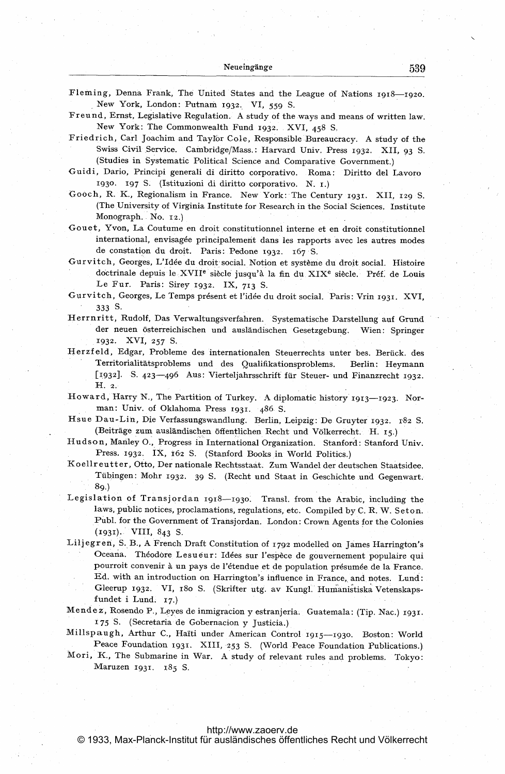Fleming, Denna Frank, The United States and the League of Nations 1918-1920. New York, London: Putnam 1932. VI, 559 S. Freund, Ernst, Legislative Regulation. A study of the ways and means of written law. New York: The Commonwealth Fund 1932. XVI, 458 S. Friedrich, Carl Joachim and Taylor Cole, Responsible Bureaucracy. A study of the Swiss Civil Service. Cambridge/Mass.: Harvard Univ. Press 1932. XII, 93 S. (Studies in Systematic Political Science and Comparative Government.) Guidi, Dario, Principi generali di diritto corporativo. Roma: Diritto del Lavoro 1930. 197 S. (Istituzioni di diritto corporativo. N. I.) Gooch, R. K., Regionalism in France. New York: The Century 1931. XII, 129 S. (The University of Virginia Institute for Research in the Social Sciences. Institute Monograph. No. 12.) Gouet, Yvon, La Coutume en droit constitutionnel interne et en droit constitutionnel international, envisagée principalement dans les rapports avec les autres modes de constation du droit. Paris: Pedone 1932. 167 S. Gurvitch, Georges, L'Idée du droit social. Notion et système du droit social. Histoire doctrinale depuis le XVII<sup>e</sup> siècle jusqu'à la fin du XIX<sup>e</sup> siècle. Préf. de Louis Le Fur. Paris: Sirey 1932. IX, 713 S. Gurvitch, Georges, Le Temps présent et l'idée du droit social. Paris: Vrin 1931. XVI, 333 S. Herrnritt, Rudolf, Das Verwaltungsverfahren. Systematische Darstellung auf Grund der neuen österreichischen und ausländischen Gesetzgebung. Wien: Springer 1932. XVI, 257 S. Herzfeld, Edgar, Probleme des internationalen Steuerrechts unter bes. Berück. des Territorialitätsproblems und des Qualifikationsproblems. Berlin: Heymann [1932]. S. 423-496 Aus: Vierteljahrsschrift für Steuer- und Finanzrecht 1932.  $H. 2.$ Howard, Harry N., The Partition of Turkey. A diplomatic history 1913-1923. Norman: Univ. of Oklahoma Press 1931. 486 S. Hsue Dau-Lin, Die Verfassungswandlung. Berlin, Leipzig: De Gruyter 1932. 182 S. (Beiträge zum ausländischen öffentlichen Recht und Völkerrecht. H. 15.) Hudson, Manley O., Progress in International Organization. Stanford: Stanford Univ. Press. 1932. IX, 162 S. (Stanford Books in World Politics.) Koellreutter, Otto, Der nationale Rechtsstaat. Zum Wandel der deutschen Staatsidee. Tübingen: Mohr 1932. 39 S. (Recht und Staat in Geschichte und Gegenwart.  $8<sub>0</sub>$ Legislation of Transjordan 1918-1930. Transl. from the Arabic, including the laws, public notices, proclamations, regulations, etc. Compiled by C. R. W. Seton. Publ. for the Government of Transjordan. London: Crown Agents for the Colonies  $(1931)$ . VIII, 843 S. Liljegren, S. B., A French Draft Constitution of 1792 modelled on James Harrington's Oceana. Théodore Lesueur: Idées sur l'espèce de gouvernement populaire qui pourroit convenir à un pays de l'étendue et de population présumée de la France. Ed. with an introduction on Harrington's influence in France, and notes. Lund: Gleerup 1932. VI, 180 S. (Skrifter utg. av Kungl. Humanistiska Vetenskapsfundet i Lund. 17.) Mendez, Rosendo P., Leyes de inmigracion y estranjeria. Guatemala: (Tip. Nac.) 1931. 175 S. (Secretaria de Gobernacion y Justicia.) Millspaugh, Arthur C., Haïti under American Control 1915-1930. Boston: World Peace Foundation 1931. XIII, 253 S. (World Peace Foundation Publications.)

Mori, K., The Submarine in War. A study of relevant rules and problems. Tokyo: Maruzen 1931. 185 S.

## http://www.zaoerv.de

© 1933, Max-Planck-Institut für ausländisches öffentliches Recht und Völkerrecht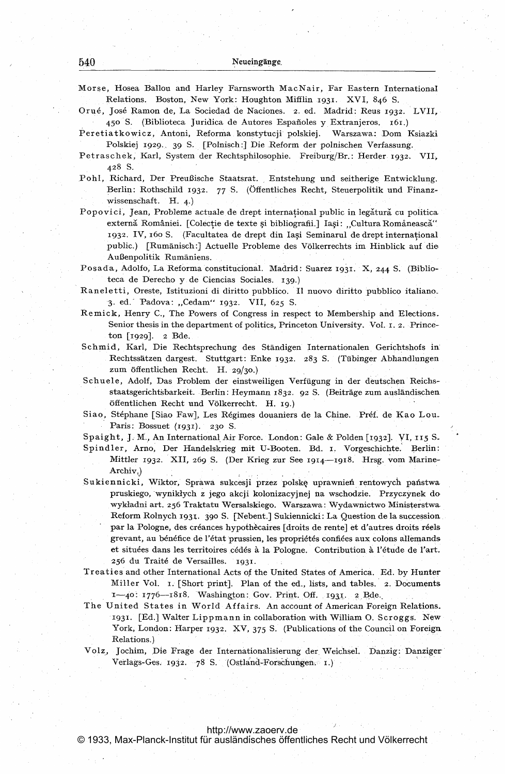Morse, Hosea Ballou and Harley Farnsworth MacNair, Far Eastern International Relations. Boston, New York: Houghton Mifflin 1931. XVI, 846 S.

Orué, José Ramon de, La Sociedad de Naciones. 2. ed. Madrid: Reus 1932. LVII, 450 S. (Biblioteca Juridica de Autores Españoles y Extranjeros. 161.)

Peretiatkowicz, Antoni, Reforma konstytucji polskiej. Warszawa: Dom Ksiazki Polskiej 1929. 39 S. [Polnisch:] Die Reform der polnischen Verfassung.

Petraschek, Karl, System der Rechtsphilosophie. Freiburg/Br.: Herder 1932. VII. 428 S.

Pohl, Richard, Der Preußische Staatsrat. Entstehung und seitherige Entwicklung. Berlin: Rothschild 1932. 77 S. (Öffentliches Recht, Steuerpolitik und Finanzwissenschaft. H.  $4.$ )

Popovici, Jean, Probleme actuale de drept international public in legătură cu politica externă României. [Colecție de texte și bibliografii.] Iași: "Cultura Românească" 1932. IV, 160 S. (Facultatea de drept din Iasi Seminarul de drept international public.) [Rumänisch:] Actuelle Probleme des Völkerrechts im Hinblick auf die Außenpolitik Rumäniens.

Posada, Adolfo, La Reforma constitucional. Madrid: Suarez 1931. X, 244 S. (Biblioteca de Derecho y de Ciencias Sociales. 139.)

- Raneletti, Oreste, Istituzioni di diritto pubblico. Il nuovo diritto pubblico italiano. 3. ed. Padova: "Cedam" 1932. VII, 625 S.
- Remick, Henry C., The Powers of Congress in respect to Membership and Elections. Senior thesis in the department of politics, Princeton University. Vol. 1. 2. Princeton [1929]. 2 Bde.
- Schmid, Karl, Die Rechtsprechung des Ständigen Internationalen Gerichtshofs in Rechtssätzen dargest. Stuttgart: Enke 1932. 283 S. (Tübinger Abhandlungen zum öffentlichen Recht. H. 29/30.)
- Schuele, Adolf, Das Problem der einstweiligen Verfügung in der deutschen Reichsstaatsgerichtsbarkeit. Berlin: Heymann 1832. 92 S. (Beiträge zum ausländischen öffentlichen Recht und Völkerrecht. H. 19.)
- Siao, Stéphane [Siao Faw], Les Régimes douaniers de la Chine. Préf. de Kao Lou. Paris: Bossuet  $(1931)$ . 230 S.

Spaight, J. M., An International Air Force. London: Gale & Polden [1932]. VI, 115 S.

- Spindler, Arno, Der Handelskrieg mit U-Booten. Bd. I. Vorgeschichte. Berlin: Mittler 1932. XII, 269 S. (Der Krieg zur See 1914-1918. Hrsg. vom Marine-Archiv.)
- Sukiennicki, Wiktor, Sprawa sukcesji przez polske uprawnień rentowych państwa pruskiego, wynikłych z jego akcji kolonizacyjnej na wschodzie. Przyczynek do wykładni art. 256 Traktatu Wersalskiego. Warszawa: Wydawnictwo Ministerstwa Reform Rolnych 1931. 390 S. [Nebent.] Sukiennicki: La Question de la succession par la Pologne, des créances hypothècaires [droits de rente] et d'autres droits réels grevant, au bénéfice de l'état prussien, les propriétés confiées aux colons allemands et situées dans les territoires cédés à la Pologne. Contribution à l'étude de l'art. 256 du Traité de Versailles. 1931.
- Treaties and other International Acts of the United States of America. Ed. by Hunter Miller Vol. I. [Short print]. Plan of the ed., lists, and tables. 2. Documents 1-40: 1776-1818. Washington: Gov. Print. Off. 1931. 2 Bde.
- The United States in World Affairs. An account of American Foreign Relations. 1931. [Ed.] Walter Lippmann in collaboration with William O. Scroggs. New York, London: Harper 1932. XV, 375 S. (Publications of the Council on Foreign Relations.)
- Volz, Jochim, Die Frage der Internationalisierung der Weichsel. Danzig: Danziger Verlags-Ges. 1932. 78 S. (Ostland-Forschungen. 1.)

http://www.zaoerv.de

© 1933, Max-Planck-Institut für ausländisches öffentliches Recht und Völkerrecht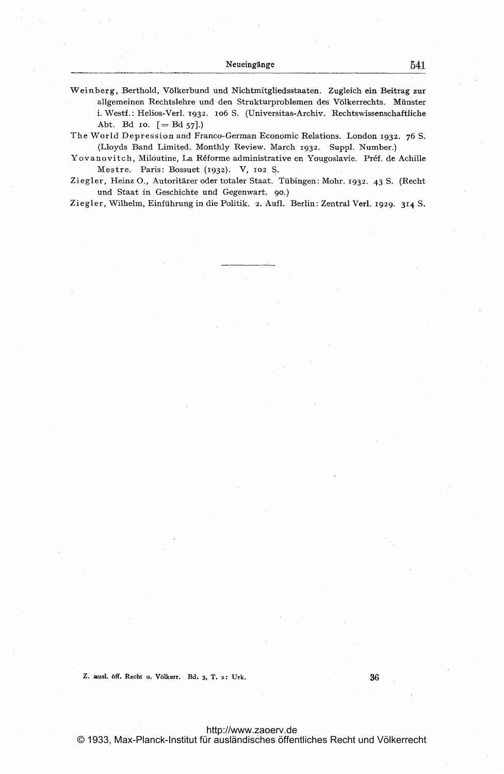Weinberg, Berthold, Völkerbund und Nichtmitgliedsstaaten. Zugleich ein Beitrag zur allgemeinen Rechtslehre und den Strukturproblemen des Völkerrechts. Münster i. Westf.: Helios-Verl. 1932. 106 S. (Universitas-Archiv. Rechtswissenschaftliche Abt. Bd 10.  $[= Bd 57]$ .)

The World Depression and Franco-German Economic Relations. London 1932. 76 S. (Lloyds Band Limited. Monthly Review. March 1932. Suppl. Number.)

Yovanovitch, Miloutine, La Réforme administrative en Yougoslavie. Préf. de Achille Mestre. Paris: Bossuet (1932). V, 102 S.

Ziegler, Heinz O., Autoritärer oder totaler Staat. Tübingen: Mohr. 1932. 43 S. (Rechtund Staat in Geschichte und Gegenwart. 90.)

Ziegler, Wilhelm, Einführung in die Politik. 2. Aufl. Berlin: Zentral Verl. 1929. 314 S.

Z. ausl. öff. Recht u. Völkerr. Bd. 3, T. 2: Urk.

36

http://www.zaoerv.de © 1933, Max-Planck-Institut für ausländisches öffentliches Recht und Völkerrecht